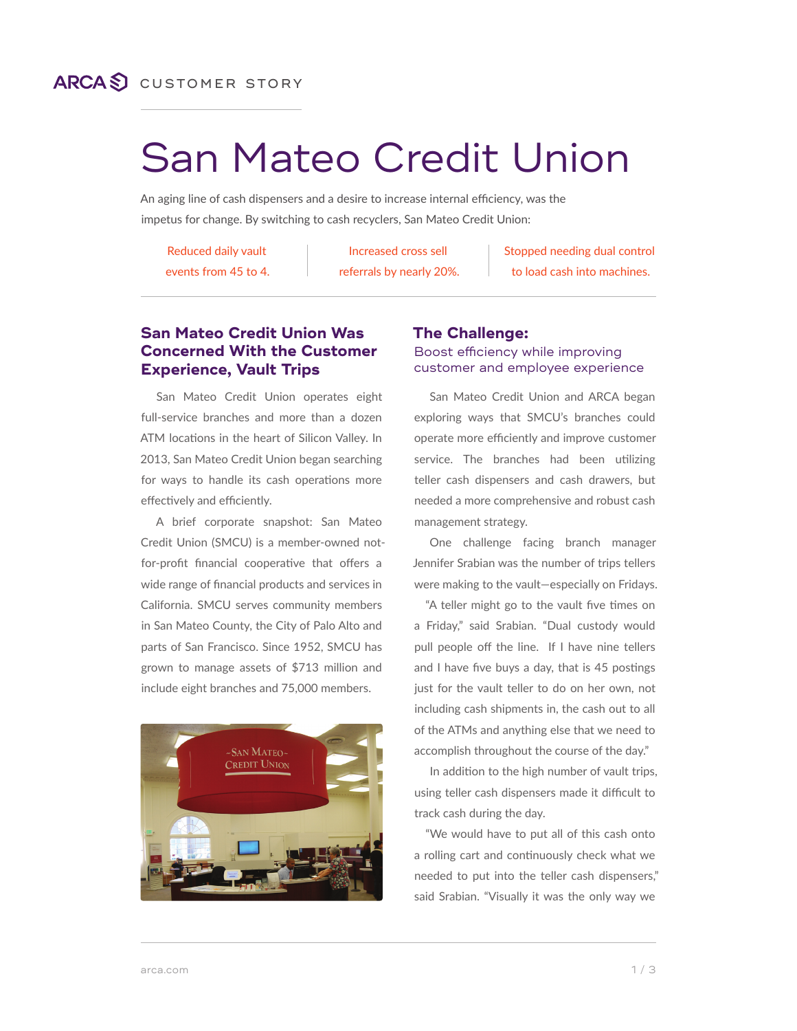## **ARCAS** CUSTOMER STORY

# San Mateo Credit Union

An aging line of cash dispensers and a desire to increase internal efficiency, was the impetus for change. By switching to cash recyclers, San Mateo Credit Union:

Reduced daily vault events from 45 to 4.

Increased cross sell referrals by nearly 20%. Stopped needing dual control to load cash into machines.

#### **San Mateo Credit Union Was Concerned With the Customer Experience, Vault Trips**

San Mateo Credit Union operates eight full-service branches and more than a dozen ATM locations in the heart of Silicon Valley. In 2013, San Mateo Credit Union began searching for ways to handle its cash operations more effectively and efficiently.

A brief corporate snapshot: San Mateo Credit Union (SMCU) is a member-owned notfor-profit financial cooperative that offers a wide range of financial products and services in California. SMCU serves community members in San Mateo County, the City of Palo Alto and parts of San Francisco. Since 1952, SMCU has grown to manage assets of \$713 million and include eight branches and 75,000 members.



#### **The Challenge:** Boost efficiency while improving customer and employee experience

San Mateo Credit Union and ARCA began exploring ways that SMCU's branches could operate more efficiently and improve customer service. The branches had been utilizing teller cash dispensers and cash drawers, but needed a more comprehensive and robust cash management strategy.

One challenge facing branch manager Jennifer Srabian was the number of trips tellers were making to the vault—especially on Fridays.

"A teller might go to the vault five times on a Friday," said Srabian. "Dual custody would pull people off the line. If I have nine tellers and I have five buys a day, that is 45 postings just for the vault teller to do on her own, not including cash shipments in, the cash out to all of the ATMs and anything else that we need to accomplish throughout the course of the day."

In addition to the high number of vault trips, using teller cash dispensers made it difficult to track cash during the day.

"We would have to put all of this cash onto a rolling cart and continuously check what we needed to put into the teller cash dispensers," said Srabian. "Visually it was the only way we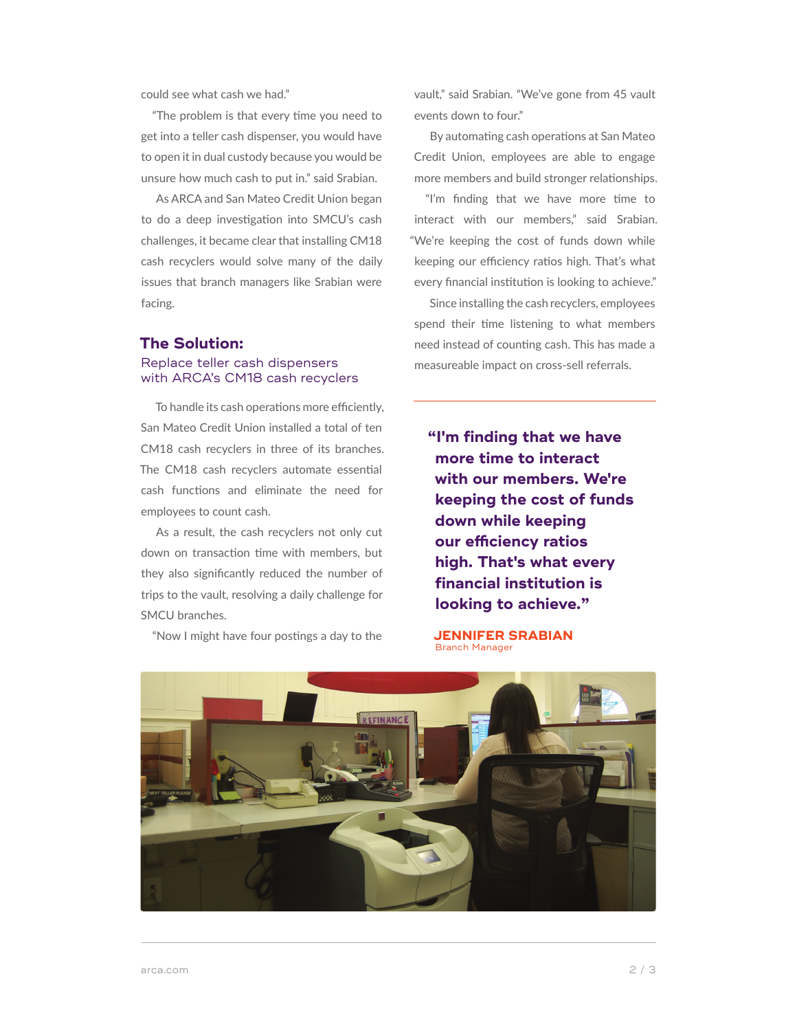could see what cash we had."

"The problem is that every time you need to get into a teller cash dispenser, you would have to open it in dual custody because you would be unsure how much cash to put in." said Srabian.

As ARCA and San Mateo Credit Union began to do a deep investigation into SMCU's cash challenges, it became clear that installing CM18 cash recyclers would solve many of the daily issues that branch managers like Srabian were facing.

#### **The Solution:**

#### Replace teller cash dispensers with ARCA's CM18 cash recyclers

To handle its cash operations more efficiently, San Mateo Credit Union installed a total of ten CM18 cash recyclers in three of its branches. The CM18 cash recyclers automate essential cash functions and eliminate the need for employees to count cash.

As a result, the cash recyclers not only cut down on transaction time with members, but they also significantly reduced the number of trips to the vault, resolving a daily challenge for SMCU branches.

"Now I might have four postings a day to the

vault," said Srabian. "We've gone from 45 vault events down to four."

By automating cash operations at San Mateo Credit Union, employees are able to engage more members and build stronger relationships.

"I'm finding that we have more time to interact with our members," said Srabian. "We're keeping the cost of funds down while keeping our efficiency ratios high. That's what every financial institution is looking to achieve."

Since installing the cash recyclers, employees spend their time listening to what members need instead of counting cash. This has made a measureable impact on cross-sell referrals.

**"I'm finding that we have more time to interact with our members. We're keeping the cost of funds down while keeping our efficiency ratios high. That's what every financial institution is looking to achieve."**

**JENNIFER SRABIAN** Branch Manager